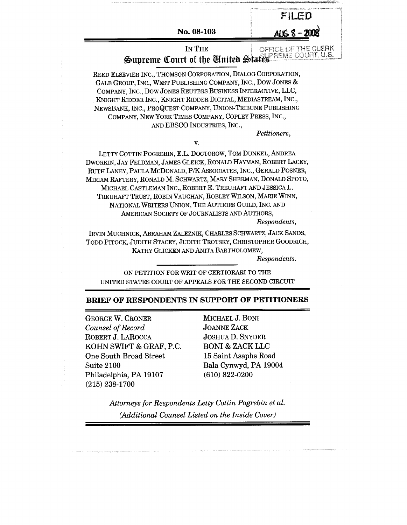|                                                                                                                                                                                                                                                                                                                                                                                               |                                                                                                     | FILED                                                                       |
|-----------------------------------------------------------------------------------------------------------------------------------------------------------------------------------------------------------------------------------------------------------------------------------------------------------------------------------------------------------------------------------------------|-----------------------------------------------------------------------------------------------------|-----------------------------------------------------------------------------|
|                                                                                                                                                                                                                                                                                                                                                                                               | No. 08-103                                                                                          | <u>AUG 8-200</u>                                                            |
|                                                                                                                                                                                                                                                                                                                                                                                               | IN THE                                                                                              | OFFICE OF THE CLERK<br>Supreme Court of the United States BLEET COURT, U.S. |
| REED ELSEVIER INC., THOMSON CORPORATION, DIALOG CORPORATION,<br>GALE GROUP, INC., WEST PUBLISHING COMPANY, INC., DOW JONES &<br>COMPANY, INC., DOW JONES REUTERS BUSINESS INTERACTIVE, LLC,<br>KNIGHT RIDDER INC., KNIGHT RIDDER DIGITAL, MEDIASTREAM, INC.,<br>NEWSBANK, INC., PROQUEST COMPANY, UNION-TRIBUNE PUBLISHING                                                                    | COMPANY, NEW YORK TIMES COMPANY, COPLEY PRESS, INC.,<br>AND EBSCO INDUSTRIES, INC.,                 |                                                                             |
|                                                                                                                                                                                                                                                                                                                                                                                               |                                                                                                     | Petitioners,                                                                |
|                                                                                                                                                                                                                                                                                                                                                                                               | v.                                                                                                  |                                                                             |
| LETTY COTTIN POGREBIN, E.L. DOCTOROW, TOM DUNKEL, ANDREA<br>DWORKIN, JAY FELDMAN, JAMES GLEICK, RONALD HAYMAN, ROBERT LACEY,<br>RUTH LANEY, PAULA MCDONALD, P/K ASSOCIATES, INC., GERALD POSNER,<br>MIRIAM RAFTERY, RONALD M. SCHWARTZ, MARY SHERMAN, DONALD SPOTO,<br>MICHAEL CASTLEMAN INC., ROBERT E. TREUHAFT AND JESSICA L.<br>TREUHAFT TRUST, ROBIN VAUGHAN, ROBLEY WILSON, MARIE WINN, | NATIONAL WRITERS UNION, THE AUTHORS GUILD, INC. AND<br>AMERICAN SOCIETY OF JOURNALISTS AND AUTHORS, | Respondents,                                                                |
| IRVIN MUCHNICK, ABRAHAM ZALEZNIK, CHARLES SCHWARTZ, JACK SANDS,<br>TODD PITOCK, JUDITH STACEY, JUDITH TROTSKY, CHRISTOPHER GOODRICH,                                                                                                                                                                                                                                                          | KATHY GLICKEN AND ANITA BARTHOLOMEW,                                                                | Respondents.                                                                |
| UNITED STATES COURT OF APPEALS FOR THE SECOND CIRCUIT                                                                                                                                                                                                                                                                                                                                         | ON PETITION FOR WRIT OF CERTIORARI TO THE                                                           |                                                                             |
| BRIEF OF RESPONDENTS IN SUPPORT OF PETITIONERS                                                                                                                                                                                                                                                                                                                                                |                                                                                                     |                                                                             |
| <b>GEORGE W. CRONER</b>                                                                                                                                                                                                                                                                                                                                                                       | MICHAEL J. BONI                                                                                     |                                                                             |
| Counsel of Record                                                                                                                                                                                                                                                                                                                                                                             | <b>JOANNE ZACK</b>                                                                                  |                                                                             |
| ROBERT J. LAROCCA                                                                                                                                                                                                                                                                                                                                                                             | <b>JOSHUA D. SNYDER</b>                                                                             |                                                                             |

KOHN SWIFT & GRAF, P.C. One South Broad Street Suite 2100 Philadelphia, PA 19107 (215) 238-1700

BONI & ZACK LLC 15 Saint Asaphs Road Bala Cynwyd, PA 19004 (610) 822-0200

*Attorneys for Respondents Letty Cottin Pogrebin et al. (Additional Counsel Listed on the Inside Cover)*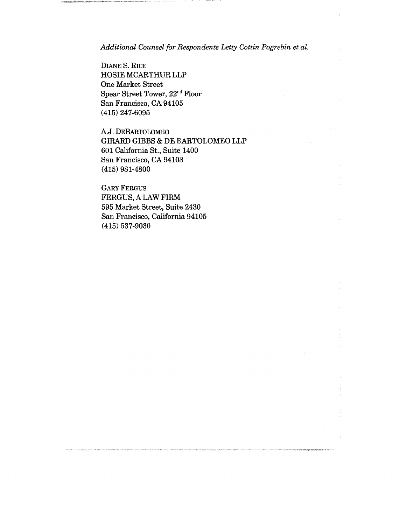*Additional Counsel for Respondents Letty Cottin Pogrebin et al.*

DIANE S. RICE HOSIE MCARTHUR LLP One Market Street Spear Street Tower, 22nd Floor San Francisco, CA 94105 (415) 247-6095

A.J. DEBARTOLOMEO GIRARD GIBBS & DE BARTOLOMEO LLP 601 California St., Suite 1400 San Francisco, CA 94108 (415) 981-4800

GARY FERGUS FERGUS, A LAW FIRM 595 Market Street, Suite 2430 San Francisco, California 94105 (415) 537-9030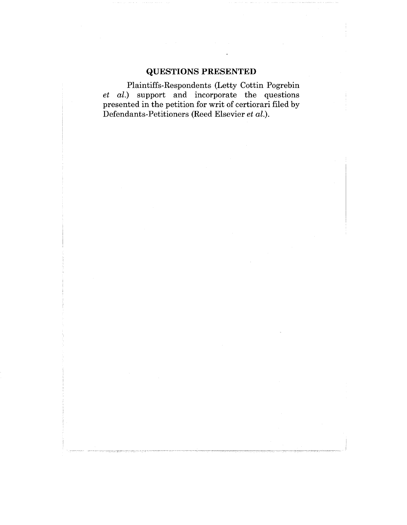## **QUESTIONS PRESENTED**

Plaintiffs-Respondents (Letty Cottin Pogrebin *et al.)* support and incorporate the questions presented in the petition for writ of certiorari filed by Defendants-Petitioners (Reed Elsevier *et al.).*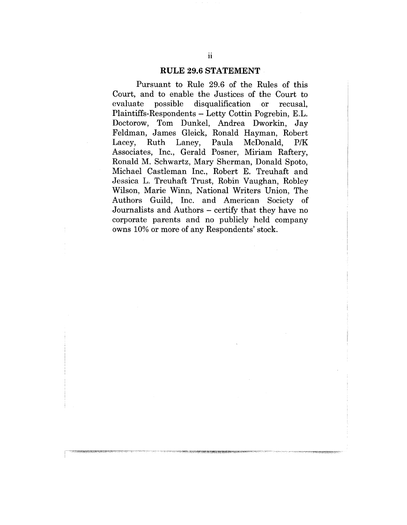#### **RULE 29.6 STATEMENT**

Pursuant to Rule 29.6 of the Rules of this Court, and to enable the Justices of the Court to evaluate possible disqualification or recusal, Plaintiffs-Respondents - Letty Cottin Pogrebin, E.L. Doctorow, Tom Dunkel, Andrea Dworkin, Jay Feldman, James Gleick, Ronald Hayman, Robert Lacey, Ruth Laney, Paula McDonald, P/K Associates, Inc., Gerald Posner, Miriam Raftery, Ronald M. Schwartz, Mary Sherman, Donald Spoto, Michael Castleman Inc., Robert E. Treuhaft and Jessica L. Treuhaft Trust, Robin Vaughan, Robley Wilson, Marie Winn, National Writers Union, The Authors Guild, Inc. and American Society of Journalists and Authors - certify that they have no corporate parents and no publicly held company owns 10% or more of any Respondents' stock.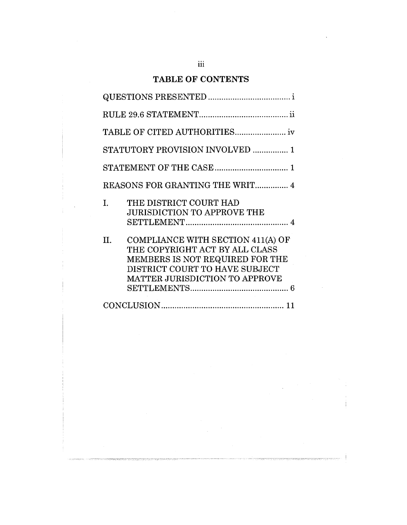## **TABLE OF CONTENTS**

|    | STATUTORY PROVISION INVOLVED  1                                                                                                                                                          |
|----|------------------------------------------------------------------------------------------------------------------------------------------------------------------------------------------|
|    |                                                                                                                                                                                          |
|    | REASONS FOR GRANTING THE WRIT 4                                                                                                                                                          |
| L. | THE DISTRICT COURT HAD<br><b>JURISDICTION TO APPROVE THE</b>                                                                                                                             |
| Н. | <b>COMPLIANCE WITH SECTION 411(A) OF</b><br>THE COPYRIGHT ACT BY ALL CLASS<br>MEMBERS IS NOT REQUIRED FOR THE<br>DISTRICT COURT TO HAVE SUBJECT<br><b>MATTER JURISDICTION TO APPROVE</b> |
|    |                                                                                                                                                                                          |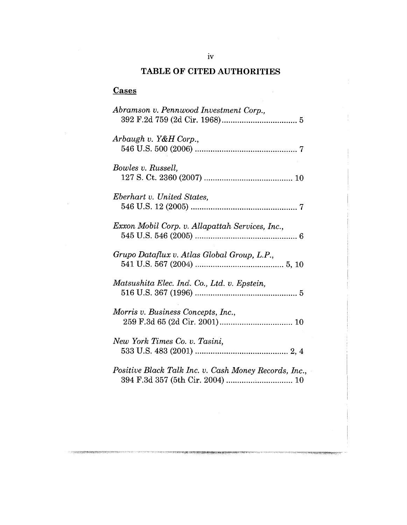## **TABLE OF CITED AUTHORITIES**

 $\sim$   $\sim$ 

# **Cases**

ा प्रसारमाणा

| Abramson v. Pennwood Investment Corp.,                                                    |
|-------------------------------------------------------------------------------------------|
| Arbaugh v. Y&H Corp.,                                                                     |
| Bowles v. Russell,                                                                        |
| Eberhart v. United States,                                                                |
| Exxon Mobil Corp. v. Allapattah Services, Inc.,                                           |
| Grupo Dataflux v. Atlas Global Group, L.P.,                                               |
| Matsushita Elec. Ind. Co., Ltd. v. Epstein,                                               |
| Morris v. Business Concepts, Inc.,                                                        |
| New York Times Co. v. Tasini,                                                             |
| Positive Black Talk Inc. v. Cash Money Records, Inc.,<br>394 F.3d 357 (5th Cir. 2004)  10 |

<u> Electronic de registración de la production de la computación de la computación d</u>

<u> Ennan Kessistan Arawakan di K</u>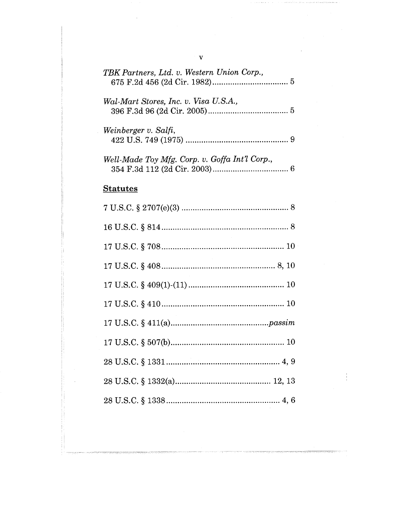| TBK Partners, Ltd. v. Western Union Corp.,     |  |
|------------------------------------------------|--|
| Wal-Mart Stores, Inc. v. Visa U.S.A.,          |  |
| Weinberger v. Salfi,                           |  |
| Well-Made Toy Mfg. Corp. v. Goffa Int'l Corp., |  |
| <b>Statutes</b>                                |  |
|                                                |  |
|                                                |  |
|                                                |  |
|                                                |  |
|                                                |  |
|                                                |  |
|                                                |  |
|                                                |  |
|                                                |  |
|                                                |  |
|                                                |  |
|                                                |  |

 $\mathcal{L}^{\text{max}}_{\text{max}}$  ,  $\mathcal{L}^{\text{max}}_{\text{max}}$ 

 $\frac{1}{\sqrt{2}}$ 

 $\alpha$  , and a set  $\alpha$  ,  $\alpha$  ,  $\beta$ 

 $\label{eq:2.1} \frac{1}{\sqrt{2}}\int_{\mathbb{R}^3}\frac{1}{\sqrt{2}}\left(\frac{1}{\sqrt{2}}\right)^2\frac{1}{\sqrt{2}}\left(\frac{1}{\sqrt{2}}\right)^2\frac{1}{\sqrt{2}}\left(\frac{1}{\sqrt{2}}\right)^2\frac{1}{\sqrt{2}}\left(\frac{1}{\sqrt{2}}\right)^2.$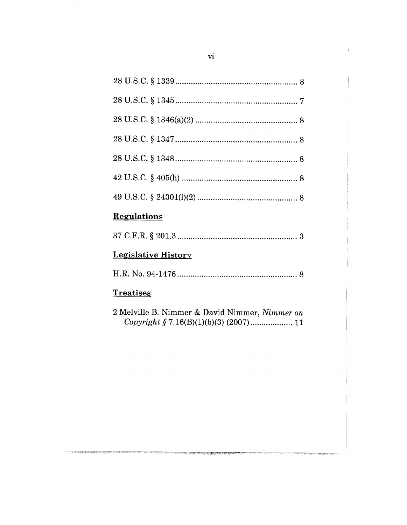## **Regulations**

|--|

## **Legislative History**

|--|--|

### **Treatises**

2 Melville B. Nimmer & David Nimmer, Nimmer on 

.<br>Tunish Mahabaran sering pertama dan berasa dan menghasilkan dalam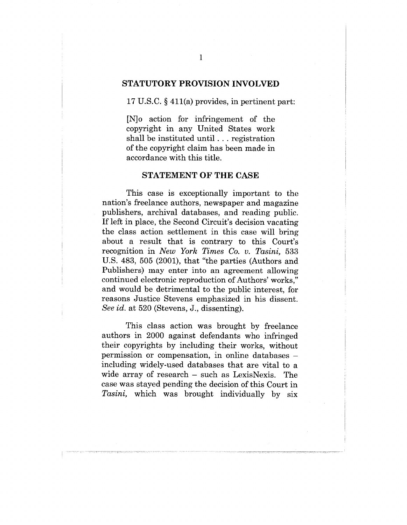#### **STATUTORY PROVISION INVOLVED**

17 U.S.C. § 411(a) provides, in pertinent part:

[N]o action for infringement of the copyright in any United States work shall be instituted until.., registration of the copyright claim has been made in accordance with this title.

#### **STATEMENT OF THE CASE**

This case is exceptionally important to the nation's freelance authors, newspaper and magazine publishers, archival databases, and reading public. If left in place, the Second Circuit's decision vacating the class action settlement in this case will bring about a result that is contrary to this Court's recognition in *New York Times Co. v. Tasini,* 533 U.S. 483, 505 (2001), that "the parties (Authors and Publishers) may enter into an agreement allowing continued electronic reproduction of Authors' works," and would be detrimental to the public interest, for reasons Justice Stevens emphasized in his dissent. *See id.* at 520 (Stevens, J., dissenting).

This class action was brought by freelance authors in 2000 against defendants who infringed their copyrights by including their works, without permission or compensation, in online databases including widely-used databases that are vital to a wide array of research – such as LexisNexis. The case was stayed pending the decision of this Court in *Tasini,* which was brought individually by six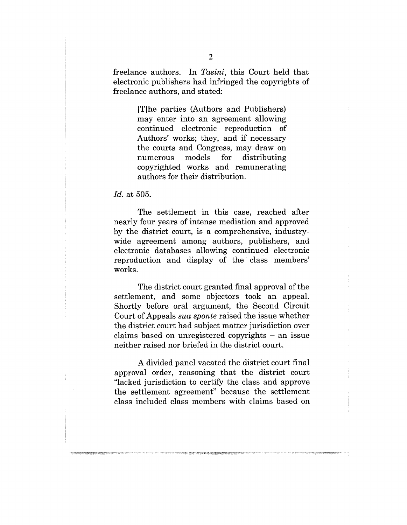freelance authors. In *Tasini,* this Court held that electronic publishers had infringed the copyrights of freelance authors, and stated:

> [T]he parties (Authors and Publishers) may enter into an agreement allowing continued electronic reproduction of Authors' works; they, and if necessary the courts and Congress, may draw on<br>numerous models for distributing numerous models for distributing copyrighted works and remunerating authors for their distribution.

#### *Id.* at 505.

The settlement in this case, reached after nearly four years of intense mediation and approved by the district court, is a comprehensive, industrywide agreement among authors, publishers, and electronic databases allowing continued electronic reproduction and display of the class members' works.

The district court granted final approval of the settlement, and some objectors took an appeal. Shortly before oral argument, the Second Circuit Court of Appeals *sua sponte* raised the issue whether the district court had subject matter jurisdiction over claims based on unregistered copyrights  $-$  an issue neither raised nor briefed in the district court.

A divided panel vacated the district court final approval order, reasoning that the district court "lacked jurisdiction to certify the class and approve the settlement agreement" because the settlement class included class members with claims based on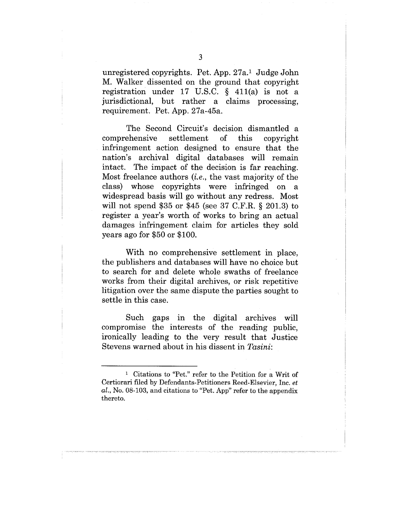unregistered copyrights. Pet. App. 27a.1 Judge John M. Walker dissented on the ground that copyright registration under 17 U.S.C. § 411(a) is not a jurisdictional, but rather a claims processing, requirement. Pet. App. 27a-45a.

The Second Circuit's decision dismantled a comprehensive settlement of this infringement action designed to ensure that the nation's archival digital databases will remain intact. The impact of the decision is far reaching. Most freelance authors *(i.e.,* the vast majority of the class) whose copyrights were infringed on a widespread basis will go without any redress. Most will not spend \$35 or \$45 (see 37 C.F.R. § 201.3) to register a year's worth of works to bring an actual damages infringement claim for articles they sold years ago for \$50 or \$100.

With no comprehensive settlement in place, the publishers and databases will have no choice but to search for and delete whole swaths of freelance works from their digital archives, or risk repetitive litigation over the same dispute the parties sought to settle in this case.

Such gaps in the digital archives will compromise the interests of the reading public, ironically leading to the very result that Justice Stevens warned about in his dissent in *Tasini:*

<sup>1</sup> Citations to "Pet." refer to the Petition for a Writ of Certiorari filed by Defendants-Petitioners Reed-Elsevier, Inc. *et al.,* No. 08-103, and citations to "Pet. App" refer to the appendix thereto.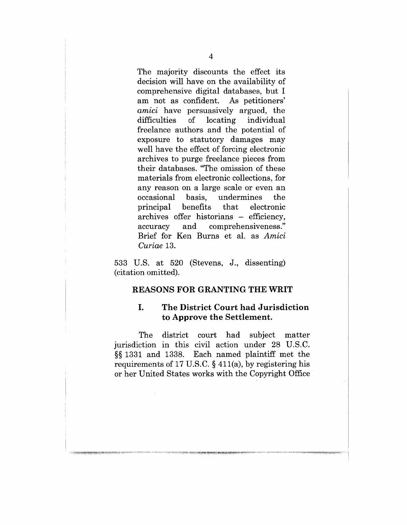The majority discounts the effect its decision will have on the availability of comprehensive digital databases, but I am not as confident. As petitioners' *amici* have persuasively argued, the difficulties of locating individual freelance authors and the potential of exposure to statutory damages may well have the effect of forcing electronic archives to purge freelance pieces from their databases. "The omission of these materials from electronic collections, for any reason on a large scale or even an<br>occasional basis, undermines the occasional basis, the principal benefits that electronic archives offer historians - efficiency, accuracy and comprehensiveness." Brief for Ken Burns et al. as *Amici Curiae* 13.

533 U.S. at 520 (Stevens, J., dissenting) (citation omitted).

#### **REASONS FOR GRANTING THE WRIT**

#### I. **The District Court had Jurisdiction to Approve the Settlement.**

The district court had subject matter jurisdiction in this civil action under 28 U.S.C. §§ 1331 and 1338. Each named plaintiff met the requirements of 17 U.S.C. § 411(a), by registering his or her United States works with the Copyright Office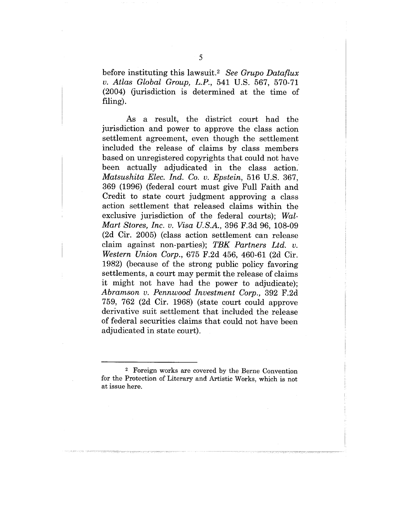before instituting this lawsuit.<sup>2</sup> See Grupo Dataflux *v. Atlas Global Group, L.P.,* 541 U.S. 567, 570-71 (2004) (jurisdiction is determined at the time of filing).

As a result, the district court had the jurisdiction and power to approve the class action settlement agreement, even though the settlement included the release of claims by class members based on unregistered copyrights that could not have been actually adjudicated in the class action. *Matsushita Elec. Ind. Co. v. Epstein,* 516 U.S. 367, 369 (1996) (federal court must give Full Faith and Credit to state court judgment approving a class action settlement that released claims within the exclusive jurisdiction of the federal courts); *Wal-Mart Stores, Inc. v. Visa U.S.A.,* 396 F.3d 96, 108-09 (2d Cir. 2005) (class action settlement can release claim against non-parties); *TBK Partners Ltd. v. Western Union Corp.,* 675 F.2d 456, 460-61 (2d Cir. 1982) (because of the strong public policy favoring settlements, a court may permit the release of claims it might not have had the power to adjudicate); *Abramson v. Pennwood Investment Corp.,* 392 F.2d 759, 762 (2d Cir. 1968) (state court could approve derivative suit settlement that included the release of federal securities claims that could not have been adjudicated in state court).

<sup>2</sup> Foreign works are covered by the Berne Convention for the Protection of Literary and Artistic Works, which is not at issue here.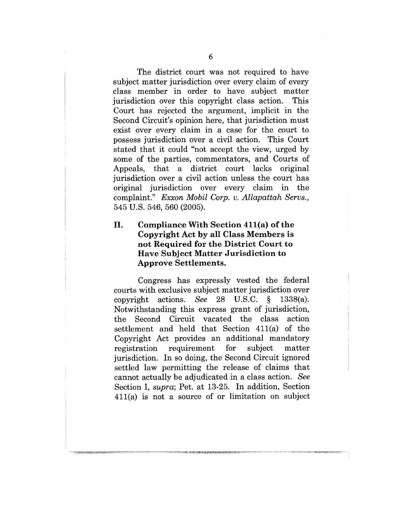The district court was not required to have subject matter jurisdiction over every claim of every class member in order to have subject matter jurisdiction over this copyright class action. This Court has rejected the argument, implicit in the Second Circuit's opinion here, that jurisdiction must exist over every claim in a case for the court to possess jurisdiction over a civil action. This Court stated that it could "not accept the view, urged by some of the parties, commentators, and Courts of Appeals, that a district court lacks original jurisdiction over a civil action unless the court has original jurisdiction over every claim in the complaint." *Exxon Mobil Corp. v. Allapattah Servs.,* 545 U.S. 546, 560 (2005).

### II. **Compliance With Section 411(a) of the Copyright Act by all Class Members is not Required for the District Court to Have Subject Matter Jurisdiction to Approve Settlements.**

Congress has expressly vested the federal courts with exclusive subject matter jurisdiction over copyright actions. See 28 U.S.C. §.  $1338(a)$ . Notwithstanding this express grant of jurisdiction, the Second Circuit vacated the class action settlement and held that Section 411(a) of the Copyright Act provides an additional mandatory registration requirement for subject matter jurisdiction. In so doing, the Second Circuit ignored settled law permitting the release of claims that cannot actually be adjudicated in a class action. *See* Section I, *supra;* Pet. at 13-25. In addition, Section 411(a) is not a source of or limitation on subject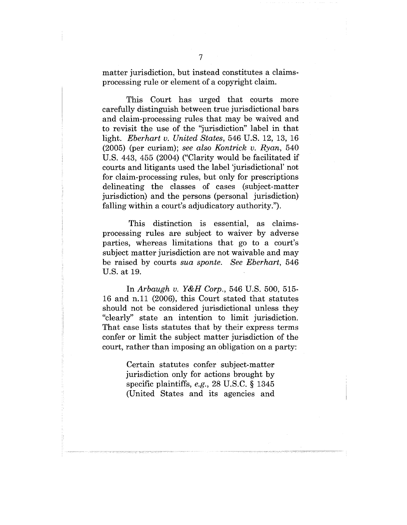matter jurisdiction, but instead constitutes a claimsprocessing rule or element of a copyright claim.

This Court has urged that courts more carefully distinguish between true jurisdictional bars and claim-processing rules that may be waived and to revisit the use of the "jurisdiction" label in that light. *Eberhart v. United States,* 546 U.S. 12, 13, 16 (2005) (per curiam); *see also Kontrick v. Ryan,* 540 U.S. 443, 455 (2004) ("Clarity would be facilitated if courts and litigants used the label 'jurisdictional' not for claim-processing rules, but only for prescriptions delineating the classes of cases (subject-matter jurisdiction) and the persons (personal jurisdiction) falling within a court's adjudicatory authority.").

This distinction is essential, as claimsprocessing rules are subject to waiver by adverse parties, whereas limitations that go to a court's subject matter jurisdiction are not waivable and may be raised by courts *sua sponte. See Eberhart,* 546 U.S. at 19.

In *Arbaugh v. Y&H Corp.,* 546 U.S. 500, 515- 16 and n.ll (2006), this Court stated that statutes should not be considered jurisdictional unless they "clearly" state an intention to limit jurisdiction. That case lists statutes that by their express terms confer or limit the subject matter jurisdiction of the court, rather than imposing an obligation on a party:

> Certain statutes confer subject-matter jurisdiction only for actions brought by specific plaintiffs, *e.g.,* 28 U.S.C. § 1345 (United States and its agencies and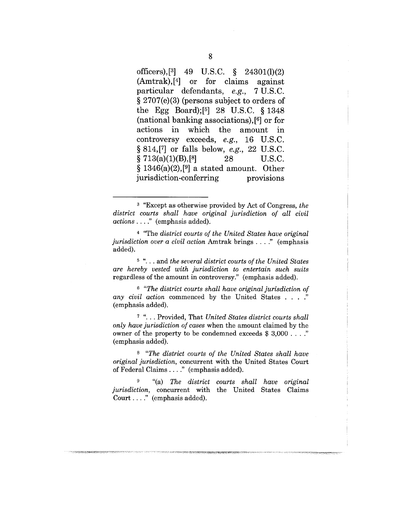**officers),[3] 49 U.S.C. § 24301(1)(2) (Amtrak),[4] or for claims against particular defendants,** *e.g.,* **7 U.S.C. § 2707(e)(3) (persons subject to orders of the Egg Board);[5] 28 U.S.C. § 1348 (national banking associations), [6] or for actions in which the amount in controversy exceeds,** *e.g.,* **16 U.S.C. § 814,[7] or falls below,** *e.g.,* **22 U.S.C.**  $\S 713(a)(1)(B),\n \begin{bmatrix} 8 \\ 28 \end{bmatrix}$  U.S.C. **§ 1346(a)(2),[9] a stated amount. Other jurisdiction-conferring provisions**

4 "The *district courts of the United States have original jurisdiction over a civil action* Amtrak brings ...." (emphasis added).

<sup>5</sup> "... and *the several district courts of the United States are hereby vested with jurisdiction to entertain such suits* regardless of the amount in controversy." (emphasis added).

*6 "The district courts shall have original jurisdiction of any civil action* commenced by the United States ...." (emphasis added).

<sup>7</sup> "... Provided, That *United States district courts shall only have jurisdiction of cases* when the amount claimed by the owner of the property to be condemned exceeds \$ 3,000 ...." (emphasis added).

*s "The district courts of the United States shall have original jurisdiction,* concurrent with the United States Court of Federal Claims .... " (emphasis added).

9 "(a) The *district courts shall have original jurisdiction,* concurrent with the United States Claims Court .... " (emphasis added).

<sup>3 &</sup>quot;Except as otherwise provided by Act of Congress, *the district courts shall have original jurisdiction of all civil actions* .... " (emphasis added).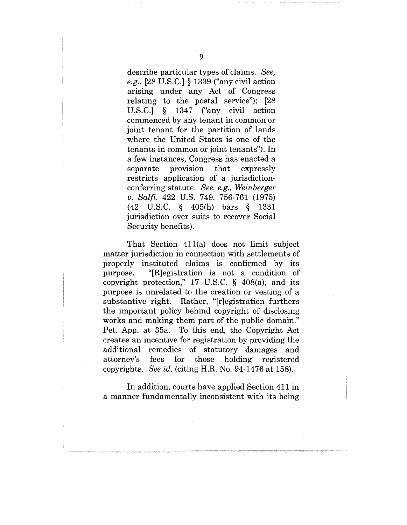describe particular types of claims. *See, e.g.,* [28 U.S.C.] § 1339 ("any civil action arising under any Act of Congress relating to the postal service"); [28 U.S.C.] § 1347 ("any civil action commenced by any tenant in common or joint tenant for the partition of lands where the United States is one of the tenants in common or joint tenants"). In a few instances, Congress has enacted a separate provision that expressly restricts application of a jurisdictionconferring statute. *See, e.g., Weinberger v. Salfi,* 422 U.S. 749, 756-761 (1975) (42 U.S.C. § 405(h) bars § 1331 jurisdiction over suits to recover Social Security benefits).

That Section 411(a) does not limit subject matter jurisdiction in connection with settlements of properly instituted claims is confirmed by its purpose. "[R]egistration is not a condition of copyright protection," 17 U.S.C.  $\S$  408(a), and its purpose is unrelated to the creation or vesting of a substantive right. Rather, "[r]egistration furthers the important policy behind copyright of disclosing works and making them part of the public domain." Pet. App. at 35a. To this end, the Copyright Act creates an incentive for registration by providing the additional remedies of statutory damages and attorney's fees for those holding registered copyrights. *See id.* (citing H.R. No. 94-1476 at 158).

In addition, courts have applied Section 411 in a manner fundamentally inconsistent with its being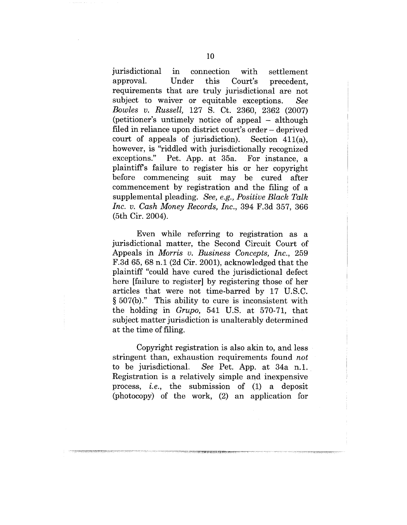jurisdictional in connection with settlement approval. Under this Court's precedent. requirements that are truly jurisdictional are not subject to waiver or equitable exceptions. *See Bowles v. Russell,* 127 S. Ct. 2360, 2362 (2007) (petitioner's untimely notice of appeal – although filed in reliance upon district court's order – deprived court of appeals of jurisdiction). Section 411(a), however, is "riddled with jurisdictionally recognized exceptions." Pet. App. at 35a. For instance, a plaintiffs failure to register his or her copyright before commencing suit may be cured after commencement by registration and the filing of a supplemental pleading. *See, e.g., Positive Black Talk Inc. v. Cash Money Records, Inc.,* 394 F.3d 357, 366 (5th Cir. 2004).

Even while referring to registration as a jurisdictional matter, the Second Circuit Court of Appeals in *Morris v. Business Concepts, Inc.,* 259 F.3d 65, 68 n.1 (2d Cir. 2001), acknowledged that the plaintiff "could have; cured the jurisdictional defect here *failure* to register by registering those of her articles that were not time-barred by 17 U.S.C. § 507(b)." This ability to cure is inconsistent with the holding in *Grupo,* 541 U.S. at 570-71, that subject matter jurisdiction is unalterably determined at the time of filing.

Copyright registration is also akin to, and less stringent than, exhaustion requirements found *not* to be jurisdictional. *See* Pet. App. at 34a n.1. Registration is a relatively simple and inexpensive process, *i.e.,* the submission of (1) a deposit (photocopy) of the work, (2) an application for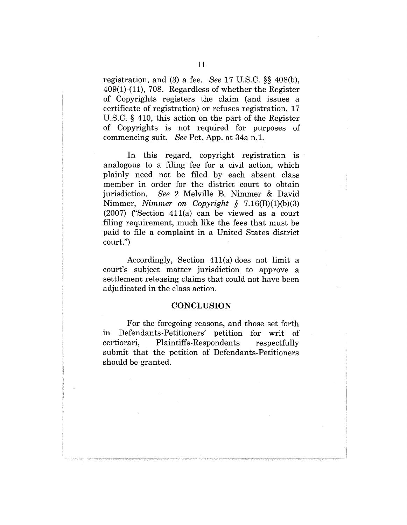registration, and (3) a fee. *See* 17 U.S.C. §§ 408(b), 409(1)-(11), 708. Regardless of whether the Register of Copyrights registers the claim (and issues a certificate of registration) or refuses registration, 17 U.S.C. § 410, this action on the part of the Register of Copyrights is not required for purposes of commencing suit. *See* Pet. App. at 34a n.1.

In this regard, copyright registration is analogous to a filing fee for a civil action, which plainly need not be filed by each absent class member in order for the district court to obtain jurisdiction. *See* 2 Melville B. Nimmer & David Nimmer, *Nimmer on Copyright §* 7.16(B)(1)(b)(3) (2007) ("Section 411(a) can be viewed as a court filing requirement, much like the fees that must be paid to file a complaint in a United States district court.")

Accordingly, Section  $411(a)$  does not limit a court's subject matter jurisdiction to approve a settlement releasing claims that could not have been adjudicated in the class action.

#### **CONCLUSION**

For the foregoing reasons, and those set forth in Defendants-Petitioners' petition for writ of certiorari, Plaintiffs-Respondents respectfully submit that the petition of Defendants-Petitioners should be granted.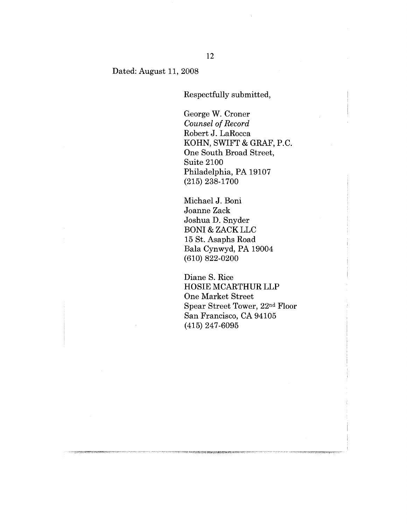#### Dated: August 11, 2008

Respectfully submitted,

George W. Croner *Counsel of Record* Robert J. LaRocca KOHN, SWIFT & GRAF, P.C. One South Broad Street, Suite 2100 Philadelphia, PA 19107 (215) 238-1700

Michael J. Boni Joanne Zack Joshua D. Snyder BONI & ZACK LLC 15 St. Asaphs Road Bala Cynwyd, PA 19004 (610) 822-0200

Diane S. Rice HOSIE MCARTHUR LLP One Market Street Spear Street Tower, 22nd Floor San Francisco, CA 94105 (415) 247-6095